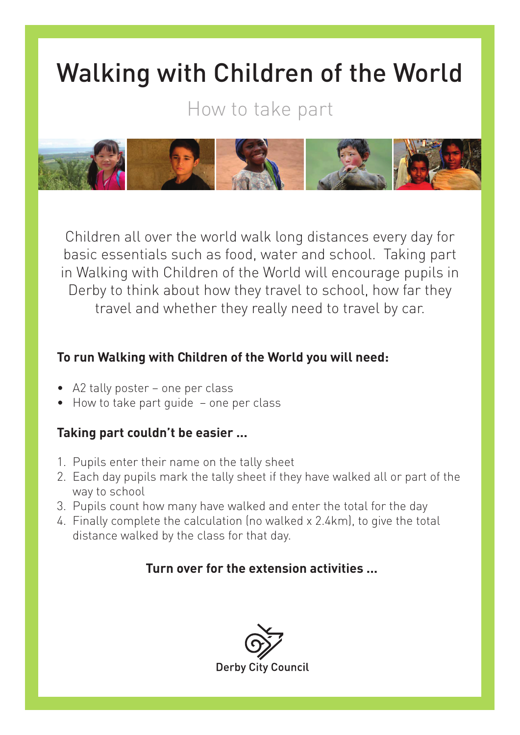## Walking with Children of the World

How to take part



Children all over the world walk long distances every day for basic essentials such as food, water and school. Taking part in Walking with Children of the World will encourage pupils in Derby to think about how they travel to school, how far they travel and whether they really need to travel by car.

## **To run Walking with Children of the World you will need:**

- A2 tally poster one per class
- How to take part guide one per class

## **Taking part couldn't be easier ...**

- 1. Pupils enter their name on the tally sheet
- 2. Each day pupils mark the tally sheet if they have walked all or part of the way to school
- 3. Pupils count how many have walked and enter the total for the day
- 4. Finally complete the calculation (no walked x 2.4km), to give the total distance walked by the class for that day.

## **Turn over for the extension activities ...**